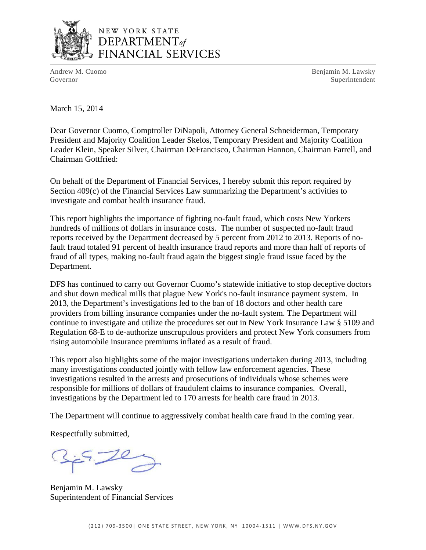

# NEW YORK STATE DEPARTMENT<sub>of</sub> FINANCIAL SERVICES

Andrew M. Cuomo **Benjamin M. Lawsky** Governor Superintendent Superintendent Superintendent Superintendent Superintendent Superintendent Superintendent Superintendent Superintendent Superintendent Superintendent Superintendent Superintendent Superintendent Sup

March 15, 2014

Dear Governor Cuomo, Comptroller DiNapoli, Attorney General Schneiderman, Temporary President and Majority Coalition Leader Skelos, Temporary President and Majority Coalition Leader Klein, Speaker Silver, Chairman DeFrancisco, Chairman Hannon, Chairman Farrell, and Chairman Gottfried:

On behalf of the Department of Financial Services, I hereby submit this report required by Section 409(c) of the Financial Services Law summarizing the Department's activities to investigate and combat health insurance fraud.

This report highlights the importance of fighting no-fault fraud, which costs New Yorkers hundreds of millions of dollars in insurance costs. The number of suspected no-fault fraud reports received by the Department decreased by 5 percent from 2012 to 2013. Reports of nofault fraud totaled 91 percent of health insurance fraud reports and more than half of reports of fraud of all types, making no-fault fraud again the biggest single fraud issue faced by the Department.

DFS has continued to carry out Governor Cuomo's statewide initiative to stop deceptive doctors and shut down medical mills that plague New York's no-fault insurance payment system. In 2013, the Department's investigations led to the ban of 18 doctors and other health care providers from billing insurance companies under the no-fault system. The Department will continue to investigate and utilize the procedures set out in New York Insurance Law § 5109 and Regulation 68-E to de-authorize unscrupulous providers and protect New York consumers from rising automobile insurance premiums inflated as a result of fraud.

This report also highlights some of the major investigations undertaken during 2013, including many investigations conducted jointly with fellow law enforcement agencies. These investigations resulted in the arrests and prosecutions of individuals whose schemes were responsible for millions of dollars of fraudulent claims to insurance companies. Overall, investigations by the Department led to 170 arrests for health care fraud in 2013.

The Department will continue to aggressively combat health care fraud in the coming year.

Respectfully submitted,

Benjamin M. Lawsky Superintendent of Financial Services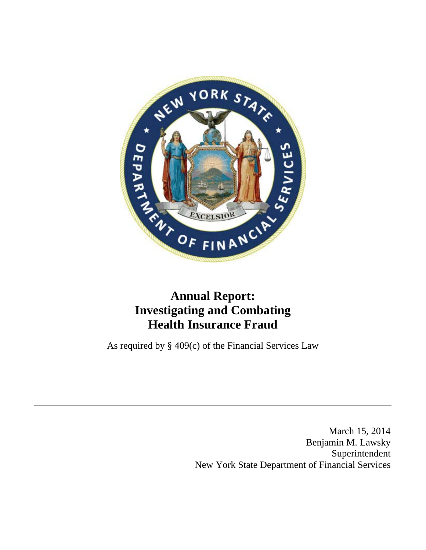

# **Annual Report: Investigating and Combating Health Insurance Fraud**

As required by § 409(c) of the Financial Services Law

March 15, 2014 Benjamin M. Lawsky Superintendent New York State Department of Financial Services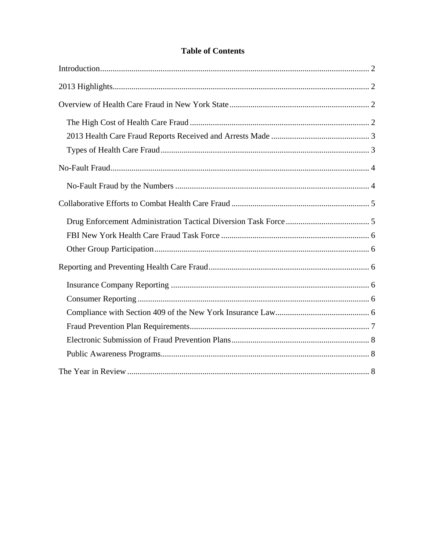# **Table of Contents**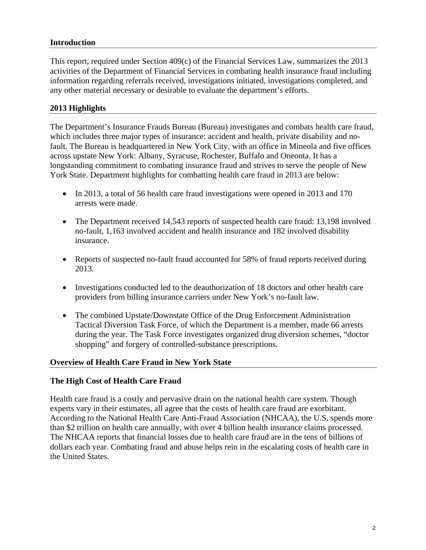#### **Introduction**

This report, required under Section 409(c) of the Financial Services Law, summarizes the 2013 activities of the Department of Financial Services in combating health insurance fraud including information regarding referrals received, investigations initiated, investigations completed, and any other material necessary or desirable to evaluate the department's efforts.

#### **2013 Highlights**

The Department's Insurance Frauds Bureau (Bureau) investigates and combats health care fraud, which includes three major types of insurance: accident and health, private disability and nofault. The Bureau is headquartered in New York City, with an office in Mineola and five offices across upstate New York: Albany, Syracuse, Rochester, Buffalo and Oneonta. It has a longstanding commitment to combating insurance fraud and strives to serve the people of New York State. Department highlights for combatting health care fraud in 2013 are below:

- In 2013, a total of 56 health care fraud investigations were opened in 2013 and 170 arrests were made.
- The Department received 14,543 reports of suspected health care fraud: 13,198 involved no-fault, 1,163 involved accident and health insurance and 182 involved disability insurance.
- Reports of suspected no-fault fraud accounted for 58% of fraud reports received during 2013.
- Investigations conducted led to the deauthorization of 18 doctors and other health care providers from billing insurance carriers under New York's no-fault law.
- The combined Upstate/Downstate Office of the Drug Enforcement Administration Tactical Diversion Task Force, of which the Department is a member, made 66 arrests during the year. The Task Force investigates organized drug diversion schemes, "doctor shopping" and forgery of controlled-substance prescriptions.

#### **Overview of Health Care Fraud in New York State**

#### **The High Cost of Health Care Fraud**

Health care fraud is a costly and pervasive drain on the national health care system. Though experts vary in their estimates, all agree that the costs of health care fraud are exorbitant. According to the National Health Care Anti-Fraud Association (NHCAA), the U.S. spends more than \$2 trillion on health care annually, with over 4 billion health insurance claims processed. The NHCAA reports that financial losses due to health care fraud are in the tens of billions of dollars each year. Combating fraud and abuse helps rein in the escalating costs of health care in the United States.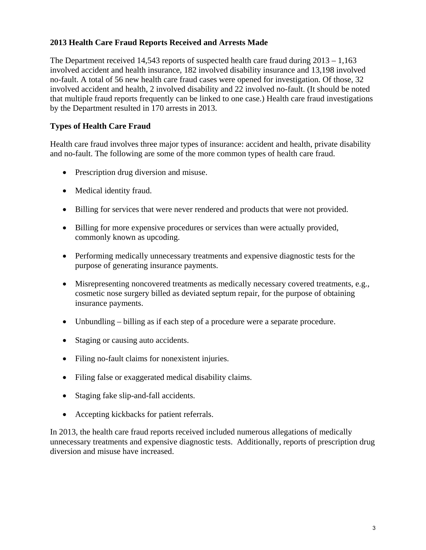# **2013 Health Care Fraud Reports Received and Arrests Made**

The Department received 14,543 reports of suspected health care fraud during  $2013 - 1,163$ involved accident and health insurance, 182 involved disability insurance and 13,198 involved no-fault. A total of 56 new health care fraud cases were opened for investigation. Of those, 32 involved accident and health, 2 involved disability and 22 involved no-fault. (It should be noted that multiple fraud reports frequently can be linked to one case.) Health care fraud investigations by the Department resulted in 170 arrests in 2013.

# **Types of Health Care Fraud**

Health care fraud involves three major types of insurance: accident and health, private disability and no-fault. The following are some of the more common types of health care fraud.

- Prescription drug diversion and misuse.
- Medical identity fraud.
- Billing for services that were never rendered and products that were not provided.
- Billing for more expensive procedures or services than were actually provided, commonly known as upcoding.
- Performing medically unnecessary treatments and expensive diagnostic tests for the purpose of generating insurance payments.
- Misrepresenting noncovered treatments as medically necessary covered treatments, e.g., cosmetic nose surgery billed as deviated septum repair, for the purpose of obtaining insurance payments.
- Unbundling billing as if each step of a procedure were a separate procedure.
- Staging or causing auto accidents.
- Filing no-fault claims for nonexistent injuries.
- Filing false or exaggerated medical disability claims.
- Staging fake slip-and-fall accidents.
- Accepting kickbacks for patient referrals.

In 2013, the health care fraud reports received included numerous allegations of medically unnecessary treatments and expensive diagnostic tests. Additionally, reports of prescription drug diversion and misuse have increased.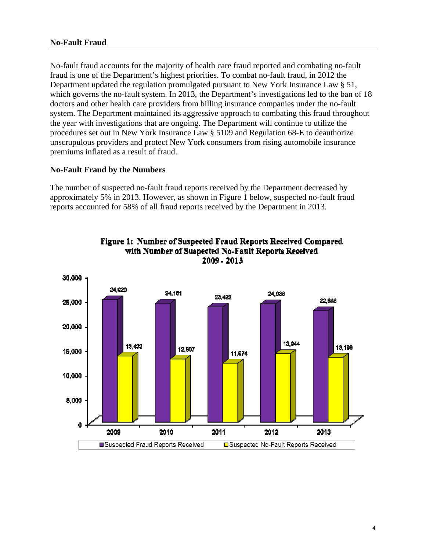#### **No-Fault Fraud**

No-fault fraud accounts for the majority of health care fraud reported and combating no-fault fraud is one of the Department's highest priorities. To combat no-fault fraud, in 2012 the Department updated the regulation promulgated pursuant to New York Insurance Law § 51, which governs the no-fault system. In 2013, the Department's investigations led to the ban of 18 doctors and other health care providers from billing insurance companies under the no-fault system. The Department maintained its aggressive approach to combating this fraud throughout the year with investigations that are ongoing. The Department will continue to utilize the procedures set out in New York Insurance Law § 5109 and Regulation 68-E to deauthorize unscrupulous providers and protect New York consumers from rising automobile insurance premiums inflated as a result of fraud.

#### **No-Fault Fraud by the Numbers**

The number of suspected no-fault fraud reports received by the Department decreased by approximately 5% in 2013. However, as shown in Figure 1 below, suspected no-fault fraud reports accounted for 58% of all fraud reports received by the Department in 2013.



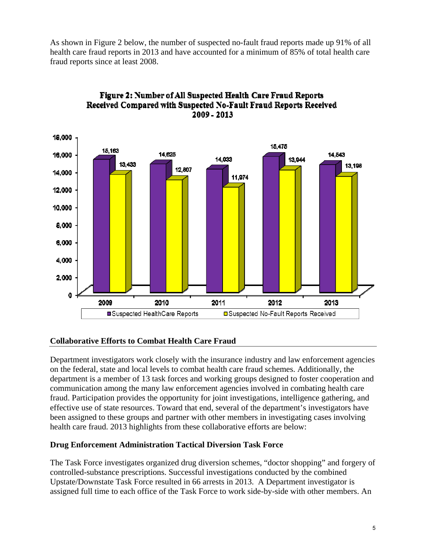As shown in Figure 2 below, the number of suspected no-fault fraud reports made up 91% of all health care fraud reports in 2013 and have accounted for a minimum of 85% of total health care fraud reports since at least 2008.



# Figure 2: Number of All Suspected Health Care Fraud Reports Received Compared with Suspected No-Fault Fraud Reports Received 2009 - 2013

# **Collaborative Efforts to Combat Health Care Fraud**

Department investigators work closely with the insurance industry and law enforcement agencies on the federal, state and local levels to combat health care fraud schemes. Additionally, the department is a member of 13 task forces and working groups designed to foster cooperation and communication among the many law enforcement agencies involved in combating health care fraud. Participation provides the opportunity for joint investigations, intelligence gathering, and effective use of state resources. Toward that end, several of the department's investigators have been assigned to these groups and partner with other members in investigating cases involving health care fraud. 2013 highlights from these collaborative efforts are below:

#### **Drug Enforcement Administration Tactical Diversion Task Force**

The Task Force investigates organized drug diversion schemes, "doctor shopping" and forgery of controlled-substance prescriptions. Successful investigations conducted by the combined Upstate/Downstate Task Force resulted in 66 arrests in 2013. A Department investigator is assigned full time to each office of the Task Force to work side-by-side with other members. An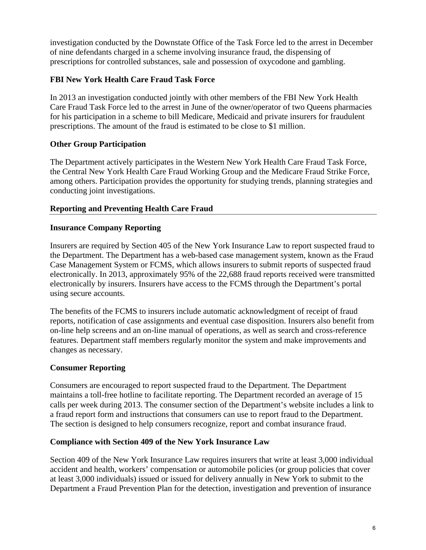investigation conducted by the Downstate Office of the Task Force led to the arrest in December of nine defendants charged in a scheme involving insurance fraud, the dispensing of prescriptions for controlled substances, sale and possession of oxycodone and gambling.

# **FBI New York Health Care Fraud Task Force**

In 2013 an investigation conducted jointly with other members of the FBI New York Health Care Fraud Task Force led to the arrest in June of the owner/operator of two Queens pharmacies for his participation in a scheme to bill Medicare, Medicaid and private insurers for fraudulent prescriptions. The amount of the fraud is estimated to be close to \$1 million.

# **Other Group Participation**

The Department actively participates in the Western New York Health Care Fraud Task Force, the Central New York Health Care Fraud Working Group and the Medicare Fraud Strike Force, among others. Participation provides the opportunity for studying trends, planning strategies and conducting joint investigations.

#### **Reporting and Preventing Health Care Fraud**

#### **Insurance Company Reporting**

Insurers are required by Section 405 of the New York Insurance Law to report suspected fraud to the Department. The Department has a web-based case management system, known as the Fraud Case Management System or FCMS, which allows insurers to submit reports of suspected fraud electronically. In 2013, approximately 95% of the 22,688 fraud reports received were transmitted electronically by insurers. Insurers have access to the FCMS through the Department's portal using secure accounts.

The benefits of the FCMS to insurers include automatic acknowledgment of receipt of fraud reports, notification of case assignments and eventual case disposition. Insurers also benefit from on-line help screens and an on-line manual of operations, as well as search and cross-reference features. Department staff members regularly monitor the system and make improvements and changes as necessary.

#### **Consumer Reporting**

Consumers are encouraged to report suspected fraud to the Department. The Department maintains a toll-free hotline to facilitate reporting. The Department recorded an average of 15 calls per week during 2013. The consumer section of the Department's website includes a link to a fraud report form and instructions that consumers can use to report fraud to the Department. The section is designed to help consumers recognize, report and combat insurance fraud.

#### **Compliance with Section 409 of the New York Insurance Law**

Section 409 of the New York Insurance Law requires insurers that write at least 3,000 individual accident and health, workers' compensation or automobile policies (or group policies that cover at least 3,000 individuals) issued or issued for delivery annually in New York to submit to the Department a Fraud Prevention Plan for the detection, investigation and prevention of insurance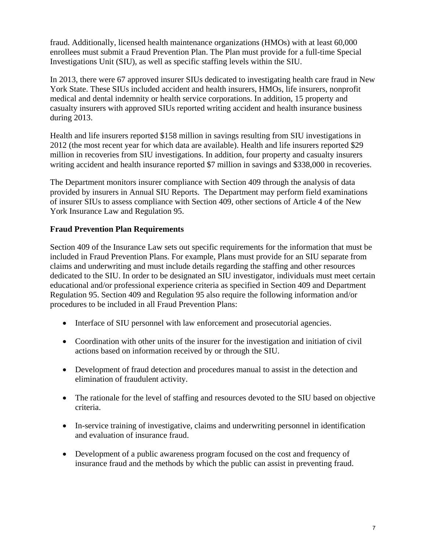fraud. Additionally, licensed health maintenance organizations (HMOs) with at least 60,000 enrollees must submit a Fraud Prevention Plan. The Plan must provide for a full-time Special Investigations Unit (SIU), as well as specific staffing levels within the SIU.

In 2013, there were 67 approved insurer SIUs dedicated to investigating health care fraud in New York State. These SIUs included accident and health insurers, HMOs, life insurers, nonprofit medical and dental indemnity or health service corporations. In addition, 15 property and casualty insurers with approved SIUs reported writing accident and health insurance business during 2013.

Health and life insurers reported \$158 million in savings resulting from SIU investigations in 2012 (the most recent year for which data are available). Health and life insurers reported \$29 million in recoveries from SIU investigations. In addition, four property and casualty insurers writing accident and health insurance reported \$7 million in savings and \$338,000 in recoveries.

The Department monitors insurer compliance with Section 409 through the analysis of data provided by insurers in Annual SIU Reports. The Department may perform field examinations of insurer SIUs to assess compliance with Section 409, other sections of Article 4 of the New York Insurance Law and Regulation 95.

#### **Fraud Prevention Plan Requirements**

Section 409 of the Insurance Law sets out specific requirements for the information that must be included in Fraud Prevention Plans. For example, Plans must provide for an SIU separate from claims and underwriting and must include details regarding the staffing and other resources dedicated to the SIU. In order to be designated an SIU investigator, individuals must meet certain educational and/or professional experience criteria as specified in Section 409 and Department Regulation 95. Section 409 and Regulation 95 also require the following information and/or procedures to be included in all Fraud Prevention Plans:

- Interface of SIU personnel with law enforcement and prosecutorial agencies.
- Coordination with other units of the insurer for the investigation and initiation of civil actions based on information received by or through the SIU.
- Development of fraud detection and procedures manual to assist in the detection and elimination of fraudulent activity.
- The rationale for the level of staffing and resources devoted to the SIU based on objective criteria.
- In-service training of investigative, claims and underwriting personnel in identification and evaluation of insurance fraud.
- Development of a public awareness program focused on the cost and frequency of insurance fraud and the methods by which the public can assist in preventing fraud.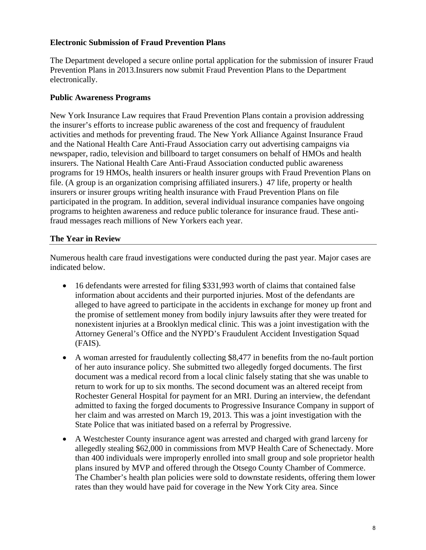#### **Electronic Submission of Fraud Prevention Plans**

The Department developed a secure online portal application for the submission of insurer Fraud Prevention Plans in 2013.Insurers now submit Fraud Prevention Plans to the Department electronically.

#### **Public Awareness Programs**

New York Insurance Law requires that Fraud Prevention Plans contain a provision addressing the insurer's efforts to increase public awareness of the cost and frequency of fraudulent activities and methods for preventing fraud. The New York Alliance Against Insurance Fraud and the National Health Care Anti-Fraud Association carry out advertising campaigns via newspaper, radio, television and billboard to target consumers on behalf of HMOs and health insurers. The National Health Care Anti-Fraud Association conducted public awareness programs for 19 HMOs, health insurers or health insurer groups with Fraud Prevention Plans on file. (A group is an organization comprising affiliated insurers.) 47 life, property or health insurers or insurer groups writing health insurance with Fraud Prevention Plans on file participated in the program. In addition, several individual insurance companies have ongoing programs to heighten awareness and reduce public tolerance for insurance fraud. These antifraud messages reach millions of New Yorkers each year.

#### **The Year in Review**

Numerous health care fraud investigations were conducted during the past year. Major cases are indicated below.

- 16 defendants were arrested for filing \$331,993 worth of claims that contained false information about accidents and their purported injuries. Most of the defendants are alleged to have agreed to participate in the accidents in exchange for money up front and the promise of settlement money from bodily injury lawsuits after they were treated for nonexistent injuries at a Brooklyn medical clinic. This was a joint investigation with the Attorney General's Office and the NYPD's Fraudulent Accident Investigation Squad (FAIS).
- A woman arrested for fraudulently collecting \$8,477 in benefits from the no-fault portion of her auto insurance policy. She submitted two allegedly forged documents. The first document was a medical record from a local clinic falsely stating that she was unable to return to work for up to six months. The second document was an altered receipt from Rochester General Hospital for payment for an MRI. During an interview, the defendant admitted to faxing the forged documents to Progressive Insurance Company in support of her claim and was arrested on March 19, 2013. This was a joint investigation with the State Police that was initiated based on a referral by Progressive.
- A Westchester County insurance agent was arrested and charged with grand larceny for allegedly stealing \$62,000 in commissions from MVP Health Care of Schenectady. More than 400 individuals were improperly enrolled into small group and sole proprietor health plans insured by MVP and offered through the Otsego County Chamber of Commerce. The Chamber's health plan policies were sold to downstate residents, offering them lower rates than they would have paid for coverage in the New York City area. Since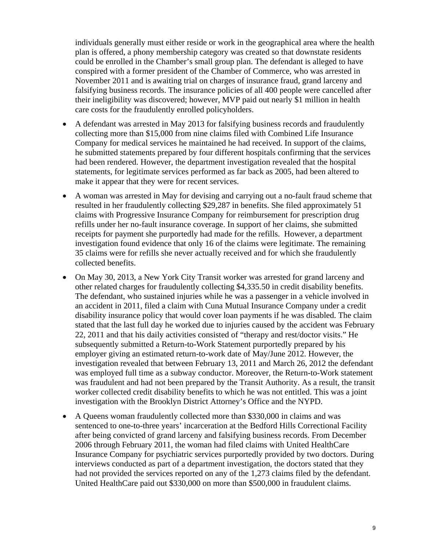individuals generally must either reside or work in the geographical area where the health plan is offered, a phony membership category was created so that downstate residents could be enrolled in the Chamber's small group plan. The defendant is alleged to have conspired with a former president of the Chamber of Commerce, who was arrested in November 2011 and is awaiting trial on charges of insurance fraud, grand larceny and falsifying business records. The insurance policies of all 400 people were cancelled after their ineligibility was discovered; however, MVP paid out nearly \$1 million in health care costs for the fraudulently enrolled policyholders.

- A defendant was arrested in May 2013 for falsifying business records and fraudulently collecting more than \$15,000 from nine claims filed with Combined Life Insurance Company for medical services he maintained he had received. In support of the claims, he submitted statements prepared by four different hospitals confirming that the services had been rendered. However, the department investigation revealed that the hospital statements, for legitimate services performed as far back as 2005, had been altered to make it appear that they were for recent services.
- A woman was arrested in May for devising and carrying out a no-fault fraud scheme that resulted in her fraudulently collecting \$29,287 in benefits. She filed approximately 51 claims with Progressive Insurance Company for reimbursement for prescription drug refills under her no-fault insurance coverage. In support of her claims, she submitted receipts for payment she purportedly had made for the refills. However, a department investigation found evidence that only 16 of the claims were legitimate. The remaining 35 claims were for refills she never actually received and for which she fraudulently collected benefits.
- On May 30, 2013, a New York City Transit worker was arrested for grand larceny and other related charges for fraudulently collecting \$4,335.50 in credit disability benefits. The defendant, who sustained injuries while he was a passenger in a vehicle involved in an accident in 2011, filed a claim with Cuna Mutual Insurance Company under a credit disability insurance policy that would cover loan payments if he was disabled. The claim stated that the last full day he worked due to injuries caused by the accident was February 22, 2011 and that his daily activities consisted of "therapy and rest/doctor visits." He subsequently submitted a Return-to-Work Statement purportedly prepared by his employer giving an estimated return-to-work date of May/June 2012. However, the investigation revealed that between February 13, 2011 and March 26, 2012 the defendant was employed full time as a subway conductor. Moreover, the Return-to-Work statement was fraudulent and had not been prepared by the Transit Authority. As a result, the transit worker collected credit disability benefits to which he was not entitled. This was a joint investigation with the Brooklyn District Attorney's Office and the NYPD.
- A Queens woman fraudulently collected more than \$330,000 in claims and was sentenced to one-to-three years' incarceration at the Bedford Hills Correctional Facility after being convicted of grand larceny and falsifying business records. From December 2006 through February 2011, the woman had filed claims with United HealthCare Insurance Company for psychiatric services purportedly provided by two doctors. During interviews conducted as part of a department investigation, the doctors stated that they had not provided the services reported on any of the 1,273 claims filed by the defendant. United HealthCare paid out \$330,000 on more than \$500,000 in fraudulent claims.